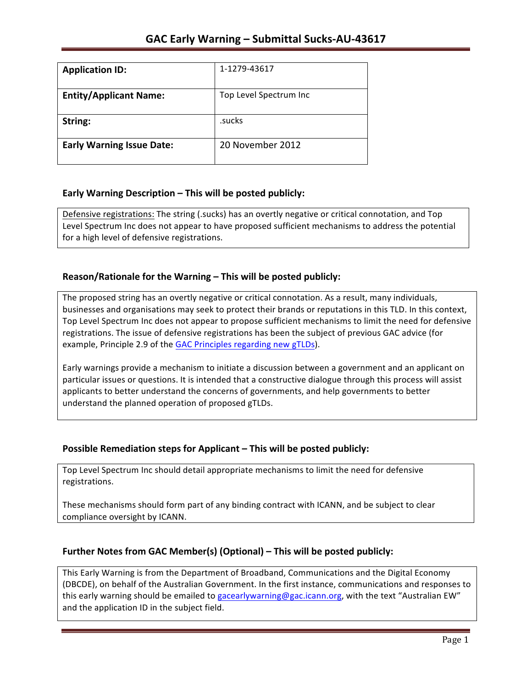| <b>Application ID:</b>           | 1-1279-43617           |
|----------------------------------|------------------------|
| <b>Entity/Applicant Name:</b>    | Top Level Spectrum Inc |
| String:                          | .sucks                 |
| <b>Early Warning Issue Date:</b> | 20 November 2012       |

## **Early Warning Description – This will be posted publicly:**

Defensive registrations: The string (.sucks) has an overtly negative or critical connotation, and Top Level Spectrum Inc does not appear to have proposed sufficient mechanisms to address the potential for a high level of defensive registrations.

## **Reason/Rationale for the Warning – This will be posted publicly:**

The proposed string has an overtly negative or critical connotation. As a result, many individuals, businesses and organisations may seek to protect their brands or reputations in this TLD. In this context, Top Level Spectrum Inc does not appear to propose sufficient mechanisms to limit the need for defensive registrations. The issue of defensive registrations has been the subject of previous GAC advice (for example, Principle 2.9 of the GAC Principles regarding new gTLDs).

Early warnings provide a mechanism to initiate a discussion between a government and an applicant on particular issues or questions. It is intended that a constructive dialogue through this process will assist applicants to better understand the concerns of governments, and help governments to better understand the planned operation of proposed gTLDs.

## **Possible Remediation steps for Applicant – This will be posted publicly:**

Top Level Spectrum Inc should detail appropriate mechanisms to limit the need for defensive registrations. 

These mechanisms should form part of any binding contract with ICANN, and be subject to clear compliance oversight by ICANN.

## **Further Notes from GAC Member(s) (Optional) – This will be posted publicly:**

This Early Warning is from the Department of Broadband, Communications and the Digital Economy (DBCDE), on behalf of the Australian Government. In the first instance, communications and responses to this early warning should be emailed to gacearlywarning@gac.icann.org, with the text "Australian EW" and the application ID in the subject field.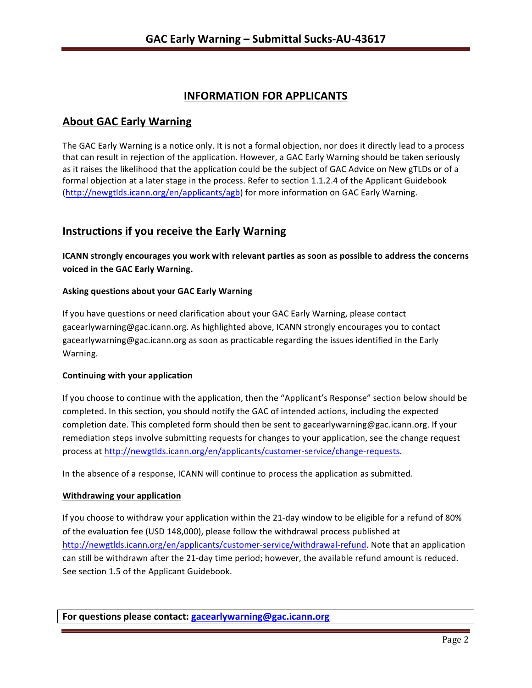# **INFORMATION FOR APPLICANTS**

## **About GAC Early Warning**

The GAC Early Warning is a notice only. It is not a formal objection, nor does it directly lead to a process that can result in rejection of the application. However, a GAC Early Warning should be taken seriously as it raises the likelihood that the application could be the subject of GAC Advice on New gTLDs or of a formal objection at a later stage in the process. Refer to section 1.1.2.4 of the Applicant Guidebook (http://newgtlds.icann.org/en/applicants/agb) for more information on GAC Early Warning.

# **Instructions if you receive the Early Warning**

**ICANN** strongly encourages you work with relevant parties as soon as possible to address the concerns **voiced in the GAC Early Warning.** 

### **Asking questions about your GAC Early Warning**

If you have questions or need clarification about your GAC Early Warning, please contact gacearlywarning@gac.icann.org. As highlighted above, ICANN strongly encourages you to contact gacearlywarning@gac.icann.org as soon as practicable regarding the issues identified in the Early Warning. 

### **Continuing with your application**

If you choose to continue with the application, then the "Applicant's Response" section below should be completed. In this section, you should notify the GAC of intended actions, including the expected completion date. This completed form should then be sent to gacearlywarning@gac.icann.org. If your remediation steps involve submitting requests for changes to your application, see the change request process at http://newgtlds.icann.org/en/applicants/customer-service/change-requests.

In the absence of a response, ICANN will continue to process the application as submitted.

### **Withdrawing your application**

If you choose to withdraw your application within the 21-day window to be eligible for a refund of 80% of the evaluation fee (USD 148,000), please follow the withdrawal process published at http://newgtlds.icann.org/en/applicants/customer-service/withdrawal-refund. Note that an application can still be withdrawn after the 21-day time period; however, the available refund amount is reduced. See section 1.5 of the Applicant Guidebook.

**For questions please contact: gacearlywarning@gac.icann.org**